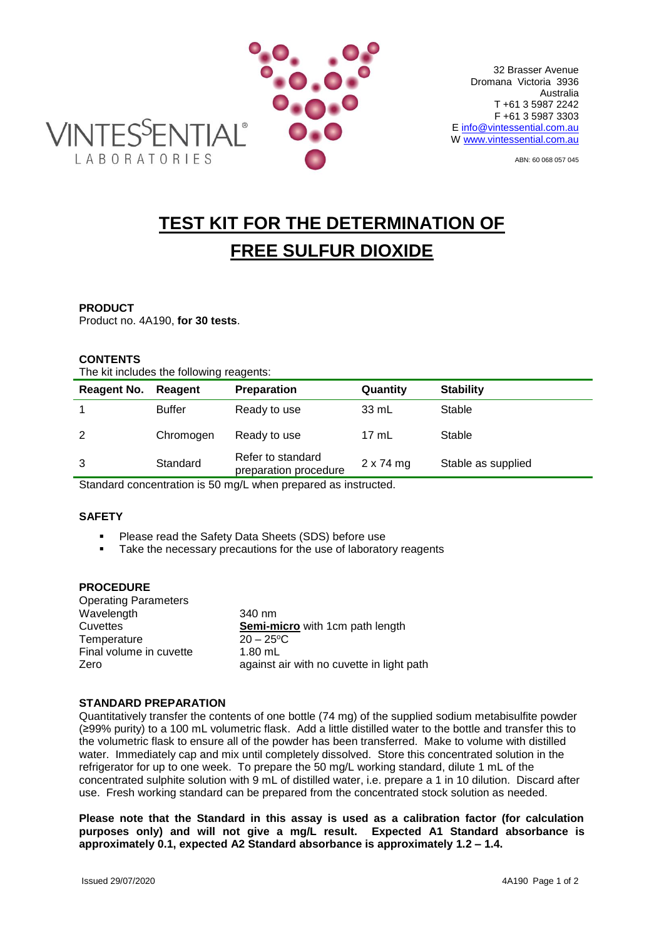

ABN: 60 068 057 045

# **TEST KIT FOR THE DETERMINATION OF FREE SULFUR DIOXIDE**

## **PRODUCT**

Product no. 4A190, **for 30 tests**.

# **CONTENTS**

The kit includes the following reagents:

| Reagent No. | Reagent       | <b>Preparation</b>                         | Quantity         | <b>Stability</b>   |
|-------------|---------------|--------------------------------------------|------------------|--------------------|
|             | <b>Buffer</b> | Ready to use                               | 33 mL            | Stable             |
| 2           | Chromogen     | Ready to use                               | $17 \text{ mL}$  | Stable             |
| 3           | Standard      | Refer to standard<br>preparation procedure | $2 \times 74$ mg | Stable as supplied |
|             |               |                                            |                  |                    |

Standard concentration is 50 mg/L when prepared as instructed.

## **SAFETY**

- **Please read the Safety Data Sheets (SDS) before use**
- Take the necessary precautions for the use of laboratory reagents

### **PROCEDURE**

| <b>Operating Parameters</b> |                                           |
|-----------------------------|-------------------------------------------|
| Wavelength                  | 340 nm                                    |
| Cuvettes                    | Semi-micro with 1cm path length           |
| Temperature                 | $20 - 25$ °C                              |
| Final volume in cuvette     | $1.80$ mL                                 |
| Zero                        | against air with no cuvette in light path |
|                             |                                           |

#### **STANDARD PREPARATION**

Quantitatively transfer the contents of one bottle (74 mg) of the supplied sodium metabisulfite powder (≥99% purity) to a 100 mL volumetric flask. Add a little distilled water to the bottle and transfer this to the volumetric flask to ensure all of the powder has been transferred. Make to volume with distilled water. Immediately cap and mix until completely dissolved. Store this concentrated solution in the refrigerator for up to one week. To prepare the 50 mg/L working standard, dilute 1 mL of the concentrated sulphite solution with 9 mL of distilled water, i.e. prepare a 1 in 10 dilution. Discard after use. Fresh working standard can be prepared from the concentrated stock solution as needed.

**Please note that the Standard in this assay is used as a calibration factor (for calculation purposes only) and will not give a mg/L result. Expected A1 Standard absorbance is approximately 0.1, expected A2 Standard absorbance is approximately 1.2 – 1.4.**